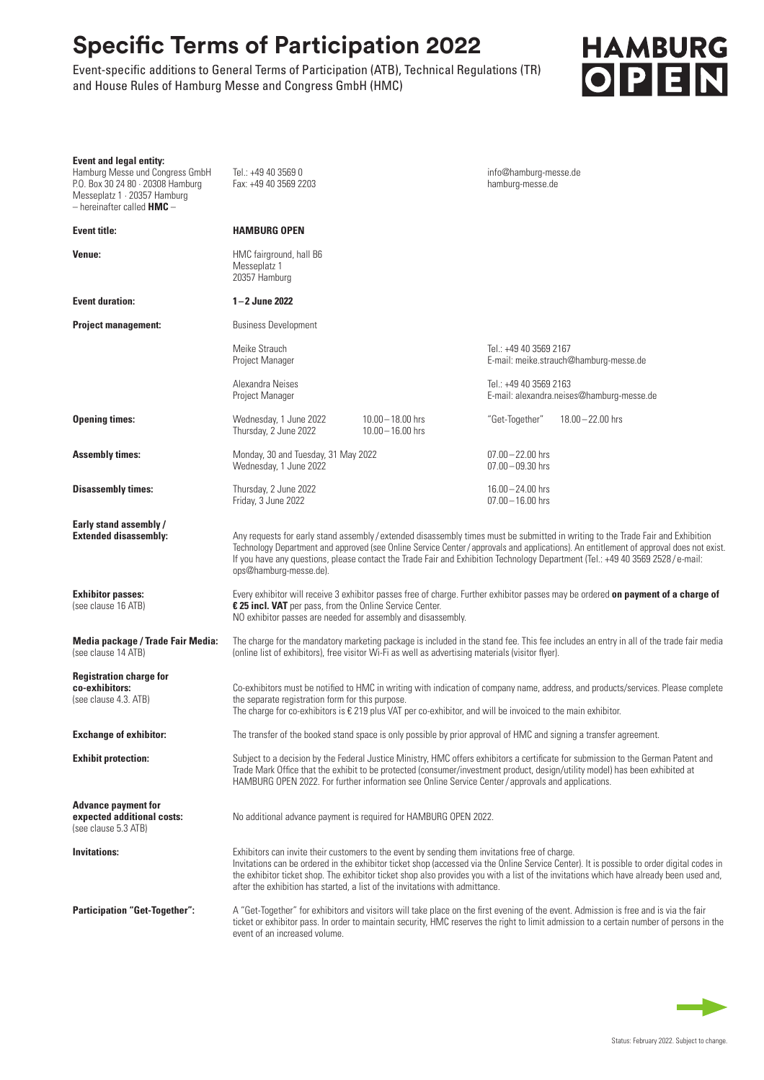## **Specific Terms of Participation 2022**

Event-specific additions to General Terms of Participation (ATB), Technical Regulations (TR) and House Rules of Hamburg Messe and Congress GmbH (HMC)

## **HAMBURG** OPEN

| <b>Event and legal entity:</b><br>Hamburg Messe und Congress GmbH<br>P.O. Box 30 24 80 · 20308 Hamburg<br>Messeplatz 1 · 20357 Hamburg<br>$-$ hereinafter called <b>HMC</b> $-$ | Tel.: +49 40 3569 0<br>Fax: +49 40 3569 2203                                                                                                                                                                                                                                                                                                                                                                                                                            |                                            | info@hamburg-messe.de<br>hamburg-messe.de                        |                                           |
|---------------------------------------------------------------------------------------------------------------------------------------------------------------------------------|-------------------------------------------------------------------------------------------------------------------------------------------------------------------------------------------------------------------------------------------------------------------------------------------------------------------------------------------------------------------------------------------------------------------------------------------------------------------------|--------------------------------------------|------------------------------------------------------------------|-------------------------------------------|
| <b>Event title:</b>                                                                                                                                                             | <b>HAMBURG OPEN</b>                                                                                                                                                                                                                                                                                                                                                                                                                                                     |                                            |                                                                  |                                           |
| Venue:                                                                                                                                                                          | HMC fairground, hall B6<br>Messeplatz 1<br>20357 Hamburg                                                                                                                                                                                                                                                                                                                                                                                                                |                                            |                                                                  |                                           |
| <b>Event duration:</b>                                                                                                                                                          | $1 - 2$ June 2022                                                                                                                                                                                                                                                                                                                                                                                                                                                       |                                            |                                                                  |                                           |
| <b>Project management:</b>                                                                                                                                                      | <b>Business Development</b>                                                                                                                                                                                                                                                                                                                                                                                                                                             |                                            |                                                                  |                                           |
|                                                                                                                                                                                 | Meike Strauch<br>Project Manager                                                                                                                                                                                                                                                                                                                                                                                                                                        |                                            | Tel.: +49 40 3569 2167<br>E-mail: meike.strauch@hamburg-messe.de |                                           |
|                                                                                                                                                                                 | Alexandra Neises<br>Project Manager                                                                                                                                                                                                                                                                                                                                                                                                                                     |                                            | Tel.: +49 40 3569 2163                                           | E-mail: alexandra.neises@hamburg-messe.de |
| <b>Opening times:</b>                                                                                                                                                           | Wednesday, 1 June 2022<br>Thursday, 2 June 2022                                                                                                                                                                                                                                                                                                                                                                                                                         | $10.00 - 18.00$ hrs<br>$10.00 - 16.00$ hrs | "Get-Together"                                                   | $18.00 - 22.00$ hrs                       |
| <b>Assembly times:</b>                                                                                                                                                          | Monday, 30 and Tuesday, 31 May 2022<br>Wednesday, 1 June 2022                                                                                                                                                                                                                                                                                                                                                                                                           |                                            | $07.00 - 22.00$ hrs<br>$07.00 - 09.30$ hrs                       |                                           |
| <b>Disassembly times:</b>                                                                                                                                                       | Thursday, 2 June 2022<br>Friday, 3 June 2022                                                                                                                                                                                                                                                                                                                                                                                                                            |                                            | $16.00 - 24.00$ hrs<br>$07.00 - 16.00$ hrs                       |                                           |
| Early stand assembly /<br><b>Extended disassembly:</b>                                                                                                                          | Any requests for early stand assembly/extended disassembly times must be submitted in writing to the Trade Fair and Exhibition<br>Technology Department and approved (see Online Service Center / approvals and applications). An entitlement of approval does not exist.<br>If you have any questions, please contact the Trade Fair and Exhibition Technology Department (Tel.: +49 40 3569 2528/e-mail:<br>ops@hamburg-messe.de).                                    |                                            |                                                                  |                                           |
| <b>Exhibitor passes:</b><br>(see clause 16 ATB)                                                                                                                                 | Every exhibitor will receive 3 exhibitor passes free of charge. Further exhibitor passes may be ordered on payment of a charge of<br>€ 25 incl. VAT per pass, from the Online Service Center.<br>NO exhibitor passes are needed for assembly and disassembly.                                                                                                                                                                                                           |                                            |                                                                  |                                           |
| Media package / Trade Fair Media:<br>(see clause 14 ATB)                                                                                                                        | The charge for the mandatory marketing package is included in the stand fee. This fee includes an entry in all of the trade fair media<br>(online list of exhibitors), free visitor Wi-Fi as well as advertising materials (visitor flyer).                                                                                                                                                                                                                             |                                            |                                                                  |                                           |
| <b>Registration charge for</b><br>co-exhibitors:<br>(see clause 4.3. ATB)                                                                                                       | Co-exhibitors must be notified to HMC in writing with indication of company name, address, and products/services. Please complete<br>the separate registration form for this purpose.<br>The charge for co-exhibitors is $\epsilon$ 219 plus VAT per co-exhibitor, and will be invoiced to the main exhibitor.                                                                                                                                                          |                                            |                                                                  |                                           |
| <b>Exchange of exhibitor:</b>                                                                                                                                                   | The transfer of the booked stand space is only possible by prior approval of HMC and signing a transfer agreement.                                                                                                                                                                                                                                                                                                                                                      |                                            |                                                                  |                                           |
| <b>Exhibit protection:</b>                                                                                                                                                      | Subject to a decision by the Federal Justice Ministry, HMC offers exhibitors a certificate for submission to the German Patent and<br>Trade Mark Office that the exhibit to be protected (consumer/investment product, design/utility model) has been exhibited at<br>HAMBURG OPEN 2022. For further information see Online Service Center / approvals and applications.                                                                                                |                                            |                                                                  |                                           |
| <b>Advance payment for</b><br>expected additional costs:<br>(see clause 5.3 ATB)                                                                                                | No additional advance payment is required for HAMBURG OPEN 2022.                                                                                                                                                                                                                                                                                                                                                                                                        |                                            |                                                                  |                                           |
| <b>Invitations:</b>                                                                                                                                                             | Exhibitors can invite their customers to the event by sending them invitations free of charge.<br>Invitations can be ordered in the exhibitor ticket shop (accessed via the Online Service Center). It is possible to order digital codes in<br>the exhibitor ticket shop. The exhibitor ticket shop also provides you with a list of the invitations which have already been used and,<br>after the exhibition has started, a list of the invitations with admittance. |                                            |                                                                  |                                           |
| <b>Participation "Get-Together":</b>                                                                                                                                            | A "Get-Together" for exhibitors and visitors will take place on the first evening of the event. Admission is free and is via the fair<br>ticket or exhibitor pass. In order to maintain security, HMC reserves the right to limit admission to a certain number of persons in the<br>event of an increased volume.                                                                                                                                                      |                                            |                                                                  |                                           |